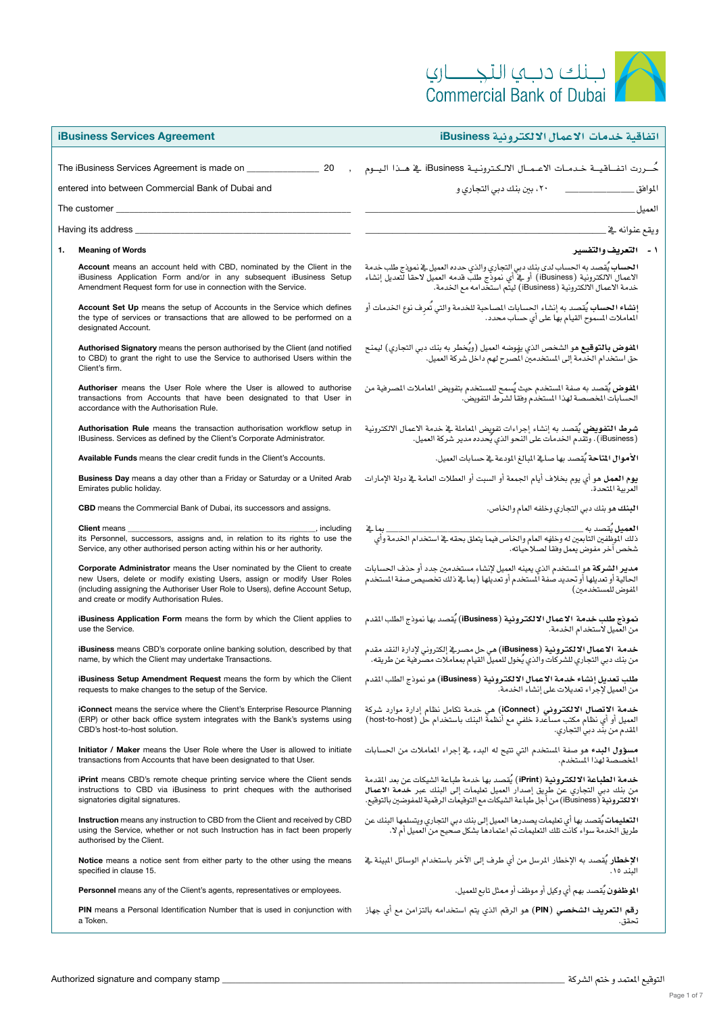| $\cup$                          |  |
|---------------------------------|--|
| <b>Commercial Bank of Dubai</b> |  |

| <b>iBusiness Services Agreement</b>                                                                                                                                                                                                                                                       | اتفاقية خدمات الاعمال الالكترونية iBusiness                                                                                                                                                                                                         |
|-------------------------------------------------------------------------------------------------------------------------------------------------------------------------------------------------------------------------------------------------------------------------------------------|-----------------------------------------------------------------------------------------------------------------------------------------------------------------------------------------------------------------------------------------------------|
|                                                                                                                                                                                                                                                                                           | حُــررت اتفــاقيــة خـدمـات الاعـمــال الالـكـترونـيـة iBusiness ـفي هــذا اليــوم                                                                                                                                                                  |
| entered into between Commercial Bank of Dubai and                                                                                                                                                                                                                                         | المواهق                                                                                                                                                                                                                                             |
| The customer $\_$                                                                                                                                                                                                                                                                         | العميل                                                                                                                                                                                                                                              |
| Having its address _                                                                                                                                                                                                                                                                      | ويقع عنوانه في                                                                                                                                                                                                                                      |
| 1.<br><b>Meaning of Words</b>                                                                                                                                                                                                                                                             | ١ - التعريف والتفسير                                                                                                                                                                                                                                |
| <b>Account</b> means an account held with CBD, nominated by the Client in the<br>iBusiness Application Form and/or in any subsequent iBusiness Setup<br>Amendment Request form for use in connection with the Service.                                                                    | ا <b>لحساب يُ</b> تصد به الحساب لدى بنك دبي التجاري والذي حدده العميل في نموذج طلب خدمة<br>الاعمال الالكترونية ( iBusiness)  أو في أي نموذج طلب قدمه العميل لاحقا لتعديل إنشاء<br>خدمة الاعمال الالكترونية ( iBusiness ) ليتّم استخدامه مع الخدمة.  |
| <b>Account Set Up</b> means the setup of Accounts in the Service which defines<br>the type of services or transactions that are allowed to be performed on a<br>designated Account.                                                                                                       | إنشاء الحساب يُقصد به إنشاء الحسابات المساحبة للخدمة والتي تُعرِف نوع الخدمات أو<br>الماملات السموح القيام بها على أي حساب محدد.                                                                                                                    |
| Authorised Signatory means the person authorised by the Client (and notified<br>to CBD) to grant the right to use the Service to authorised Users within the<br>Client's firm.                                                                                                            | ا <b>لفوض بالتوقيع م</b> و الشخص الذي يفوضه العميل (ويُخطر به بنك دبي التجاري) ليمنح<br>حق استخدام الخدمة إلى المستخدمين الصرح لهم داخل شركة العميل.                                                                                                |
| Authoriser means the User Role where the User is allowed to authorise<br>transactions from Accounts that have been designated to that User in<br>accordance with the Authorisation Rule.                                                                                                  | ا <b>لفوض</b> يُقصد به صفة المستخدم حيث يُسمح للمستخدم بتفويض الماملات الصرفية من<br>الحسابات الخصصة لهذا الستخدم وفقا لشرط التفويض.                                                                                                                |
| Authorisation Rule means the transaction authorisation workflow setup in<br>IBusiness. Services as defined by the Client's Corporate Administrator.                                                                                                                                       | <b>شرط التفويض</b> يُقصد به إنشاء إجراءات تفويض الماملة في خدمة الاعمال الالكترونية<br>(Business) . وتُقدم الخدمات على النحو الذي يُحدده مدير شركة المميل.                                                                                          |
| <b>Available Funds</b> means the clear credit funds in the Client's Accounts.                                                                                                                                                                                                             | الأموال المتاحة يُقصد بها صافي المبالغ المودعة في حسابات العميل.                                                                                                                                                                                    |
| <b>Business Day</b> means a day other than a Friday or Saturday or a United Arab<br>Emirates public holiday.                                                                                                                                                                              | <b>يوم العمل</b> هو أي يوم بخلاف أيام الجمعة أو السبت أو العطلات العامة <u>ب</u> خ دولة الإمارات<br>العربية المتحدة.                                                                                                                                |
| <b>CBD</b> means the Commercial Bank of Dubai, its successors and assigns.                                                                                                                                                                                                                | البنك هو بنك دبي التجاري وخلفه العام والخاص.                                                                                                                                                                                                        |
| <b>Client</b> means<br>its Personnel, successors, assigns and, in relation to its rights to use the<br>Service, any other authorised person acting within his or her authority.                                                                                                           | شخص آخر مفوض يعمل وفقاً لصلاحياته.                                                                                                                                                                                                                  |
| <b>Corporate Administrator</b> means the User nominated by the Client to create<br>new Users, delete or modify existing Users, assign or modify User Roles<br>(including assigning the Authoriser User Role to Users), define Account Setup,<br>and create or modify Authorisation Rules. | <b>مدير الشركة</b> هو السنخدم الذي يعينه العميل لإنشاء مستخدمين جدد أو حذف الحسابات<br>الحالية أو تعديلها أو تحديد صفة المستخدم أو تعديلها (بما <u>ب</u> لا ذلك تخصيص صفة المستخدم<br><br>المفوض للمستخدمين)                                        |
| iBusiness Application Form means the form by which the Client applies to<br>use the Service.                                                                                                                                                                                              | <b>نموذج طلب خدمة الاعمال الالكترونية (iBusiness)</b> يُقصد بها نموذج الطلب القدم<br>من العميل لاستخدام الخدمة.                                                                                                                                     |
| <b>iBusiness</b> means CBD's corporate online banking solution, described by that<br>name, by which the Client may undertake Transactions.                                                                                                                                                | <b>خدمة الاعمال الالكترونية (iBusiness</b> ) هي حل مصر <u>ية</u> إلكتروني لإدارة النقد مقدم<br>من بنك دبي التجاري للشركات والذي يُخول للعميلُ القيام بمعاملات مصرفية عن طريقه.                                                                      |
| <b>iBusiness Setup Amendment Request</b> means the form by which the Client<br>requests to make changes to the setup of the Service.                                                                                                                                                      | طلب تعديل إنشاء خدمة الاعمال الالكترونية (iBusiness) هو نموذج الطلب القدم<br>من العميل لأحراء تعديلات على انشاء الخدمة.                                                                                                                             |
| <b>iConnect</b> means the service where the Client's Enterprise Resource Planning<br>(ERP) or other back office system integrates with the Bank's systems using<br>CBD's host-to-host solution.                                                                                           | خدمة الاتصال الالكتروني (iConnect) هي خدمة تكامل نظام إدارة موارد شركة<br>العميل أو أي نظام مكتب مساعدة خلفي مع أنظمة البنك باستخدام حل (host-to-host)<br>المقدم من بند دبي التجاري.                                                                |
| <b>Initiator / Maker</b> means the User Role where the User is allowed to initiate<br>transactions from Accounts that have been designated to that User.                                                                                                                                  | مسؤول البدء هو صفة المستخدم التي تتيح له البدء في إجراء الماملات من الحسابات<br>المخصصة لهذا المستخدم.                                                                                                                                              |
| <b>iPrint</b> means CBD's remote cheque printing service where the Client sends<br>instructions to CBD via iBusiness to print cheques with the authorised<br>signatories digital signatures.                                                                                              | خدمة الطباعة الالكترونية (iPrint) يُقصد بها خدمة طباعة الشيكات عن بعد المقدمة<br>من بنك دبي التجاري عن طريق إصدار العميل تعليمات إلى البنك عبر خدمة الاعمال<br>الالكترونية (iBusiness) من أجل طباعة الشيكات مع التوقيعات الرقمية للمفوضين بالتوقيع. |
| Instruction means any instruction to CBD from the Client and received by CBD<br>using the Service, whether or not such Instruction has in fact been properly<br>authorised by the Client.                                                                                                 | ا <b>لتعليمات</b> يُقصد بها أي تعليمات يصدرها العميل إلى بنك دبي التجاري ويتسلمها البنك عن<br>طريق الخدمة سواء كانت تلك التعليمات تم اعتمادها بشكل صحيح من العميل أم لا.                                                                            |
| Notice means a notice sent from either party to the other using the means<br>specified in clause 15.                                                                                                                                                                                      | ا <b>لإخطا</b> ر يُقصد به الإخطار الرسل من أي طرف إلى الآخر باستخدام الوسائل المينة <u>ف</u> خ<br>البند ١٥.                                                                                                                                         |
| Personnel means any of the Client's agents, representatives or employees.                                                                                                                                                                                                                 | ا <b>لموظفون</b> يُقصد بهم أي وكيل أو موظف أو ممثل تابع للعميل.                                                                                                                                                                                     |
| <b>PIN</b> means a Personal Identification Number that is used in conjunction with<br>a Token.                                                                                                                                                                                            | رقم التعريف الشخصي (PIN) هو الرقم الذي يتم استخدامه بالتزامن مع أي جهاز<br>تحقق.                                                                                                                                                                    |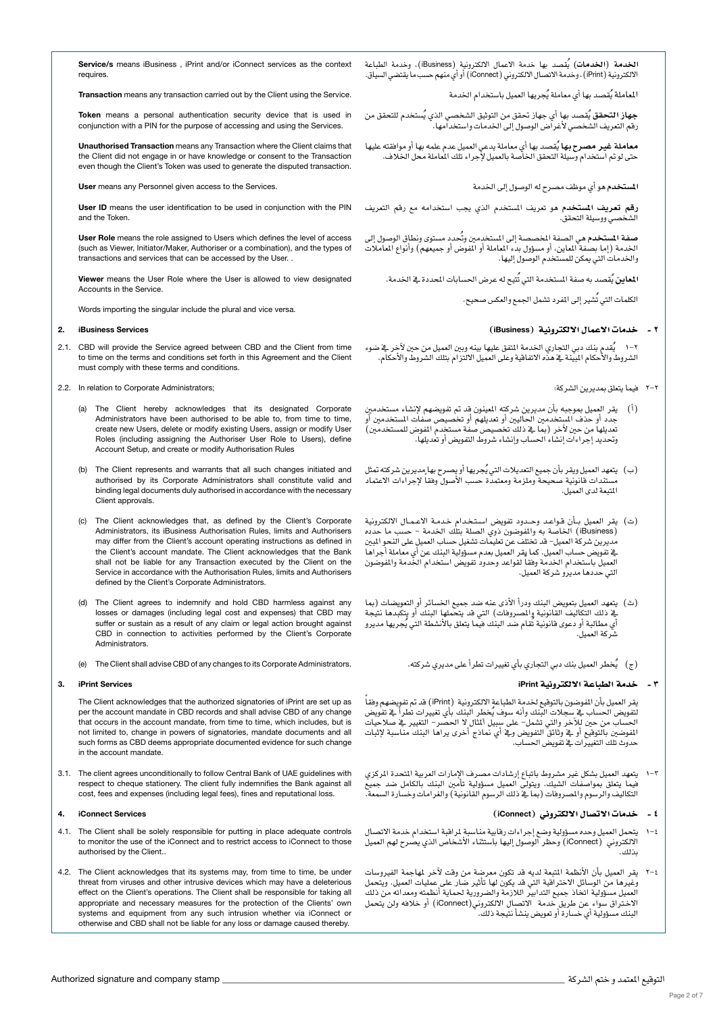المعاملة يُقصد بها أي معاملة يُجريها العميل باستخدام الخدمة

**جهاز التحقق** يُقصد بها أي جهاز تحقق من التوثيق الشخصي الذي يُستخدم للتحقق من<br>رقم التعريف الشخصي لأغراض الوصول إلى الخدمات واستخدامها.

**معاملة غير مصرح بها** يُقصد بها أي معاملة يدعي العميل عدم علمه بها أو موافقته عليها<br>حتى لو تم استخدام وسيلة التحقق الخاصة بالعميل لإجراء تلك الماملة محل الخلاف.

ا**لمستخدم** هو أي موظف مصرح له الوصول إلى الخدمة

**رقم تعريف المستخدم هو تعريف المستخدم الذي يجب استخدامه مع رقم التعريف**<br>الشخصي ووسيلة التحقق.

**صفة المستخدم هي الص**فة الخصصة إلى الستخدمبن وتُحدد مستوى ونطاق الوصول إلى<br>الخدمة ( إما بصفة الملين، أو مسؤول بدء الماملة أو الفوض أو جميعهم) وأنواع الماملات واخلدمات التي ميكن للم�ستخدم الو�صول إليها.

ا**لماين** يُقصد به صفة المستخدمة التي تُتيح له عرض الحسابات الم*حد*دة في الخدمة.

الكلمات التي تُشير إلى المفرد تشمل الجمع والعكس صحيح.

# 2 - خدمات االعمال االلكرتونية )iBusiness)

يقدم بنك دبي التجاري اخلدمة املتفق عليها بينه وبني العميل من حني لآخر يف �ضوء الشروط والأحكام المبيّنة ية هذه الاتفاقية وعلى العميل الالتزام بتلك الشروط والأحكام.

- 2-2 فيما يتعلق مبديرين ال�شركة:
- )أ( يقر العميل مبوجبه بأن مديرين �شركته املعينون قد مت تفوي�ضهم لإن�شاء م�ستخدمني جدد أو حذف المستخدمين الحاليين أو تعديلهم أو تخصيص صفات المستخدمين أو .<br>تعديلها من حين لآخر (بما ي ذلك تخصيص صفة مستخدم الفوض للمستخدمين) وحتديد إجراءات إن�شاء احل�ساب وإن�شاء �شروط التفوي�ض أو تعديلها.
- (ب) يتمهد العميل ويقر بأن جميع التعديلات التي يُجريها أو يصرح بها مديرين شركته تمثل<br>مستندات قانونية صحيحة وملزمة ومعتمدة حسب الأصول وفقا لإجراءات الاعتماد املتبعة لدى العميل.
- (ت) يقر العميل بـأن قـواعـد وحـدود تفويض اسـتخدام خدمـة الاعـمـال الالكترونية )iBusiness )اخلا�صة به واملفو�ضون ذوي ال�صلة بتلك اخلدمة - ح�سب ما حدده مديرين شركة العميل- قد تختلف عن تعليمات تشغيل حساب العميل على النحو المبين يخ تفويض حساب المميل. كما يقر العميل بعدم مسؤولية البنك عن أي معاملة أجراها.<br>العميل باستخدام الخدمة وفقا لقواعد وحدود تفويض استخدام الخدمة والفوضون التي حددها مديرو �شركة العميل.
- (ث) يتعهد العميل بتعويض البنك ودرأ الأذى عنه ضد جميع الخسائر أو التعويضات (بما يف ذلك التكاليف القانونية والمصروفات) التي قد يتحملها البنك أو يتكبدها نتيجة ي مطالبة أو دعوى قانونية تُقام ضد البنك فيما يتعلق بالأنشطة التي يُجريها مديرو �شركة العميل.
	- (ج) \_ يُخطر العميل بنك دبي التجاري بأي تغييرات تطرأ على مديري شركته.

# 3 - خدمة الطباعة االلكرتونية iPrint

֧֖֖֝֟֓֓֓֓**֓** يقر المميل بأن الفوضون بالتوقيع لخدمة الطباعة الالكترونية(iPrint ) قد تم تفويضهم وفقاً<br>لتفويض الحساب فے سجلات البنك وأنه سوف يُخطر البنك بأي تفييرات تطرأ فے تفويض<br>الحساب من حين للآخر والتي تشمل– على سبيل ألثال لا الحصر– ا المفوضين بالتوقيع أو يف وثائق التفويض ويف أي نماذج أخرى يراها البنك مناسبة لإثبات حدوث تلك التغيريات يف تفوي�ض احل�ساب.

فيما يتعلق مبوا�صفات ال�شيك. ويتوىل العميل م�سؤولية تأمني البنك بالكامل �ضد جميع 1-3 يتعهد العميل ب�شكل غري م�شروط باتباع إر�شادات م�صرف الإمارات العربية املتحدة املركزي التكاليف والرسوم والمصروفات (بما ية ذلك الرسوم القانونية) والغرامات وخسارة السمعة.

# 4 - خدمات االت�صال االلكرتوين )iConnect)

- ا 1 يتحمل المميل وحده مسؤولية وضع إجراءات رهابية مناسبة لراقبة استخدام خدمة الاتصال<br>الالكتروني (iConnect) وحظر الوصول إليها باستثناء الأشخاص الذي يصرح لهم المميل<br>ينايس بذلك.
- +−Y يقر العميل بأن الأنظمة المتبعة لديه قد تكون معرضة من وقت لآخر لمهاجمة الفيروسات<br>وغيرها من الوسائل الاختراقية التي قد يكون لها تأثير ضار عل*ى عم*ليات العميل. ويتحمل العميل مسؤولية اتخاذ جميع التدابير اللازمة والضرورية لحماية أنظمته ومعداته من ذلك االخ�تراق �سواء عن طريق خدمة االت�صال االلكرتوين)iConnect )أو خالفه ولن يتحمل البنك مسؤولية أي خسارة أو تعويض ينشأ نتيجة ذلك.

Service/s means iBusiness iPrint and/or iConnect services as the context requires.

Transaction means any transaction carried out by the Client using the Service.

Token means a personal authentication security device that is used in conjunction with a PIN for the purpose of accessing and using the Services.

Unauthorised Transaction means any Transaction where the Client claims that the Client did not engage in or have knowledge or consent to the Transaction even though the Client's Token was used to generate the disputed transaction.

User means any Personnel given access to the Services.

User ID means the user identification to be used in conjunction with the PIN and the Token.

User Role means the role assigned to Users which defines the level of access (such as Viewer, Initiator/Maker, Authoriser or a combination), and the types of transactions and services that can be accessed by the User. .

Viewer means the User Role where the User is allowed to view designated Accounts in the Service.

Words importing the singular include the plural and vice versa.

# 2. iBusiness Services

- 2.1. CBD will provide the Service agreed between CBD and the Client from time to time on the terms and conditions set forth in this Agreement and the Client must comply with these terms and conditions.
- 2.2. In relation to Corporate Administrators;
	- (a) The Client hereby acknowledges that its designated Corporate Administrators have been authorised to be able to, from time to time, create new Users, delete or modify existing Users, assign or modify User Roles (including assigning the Authoriser User Role to Users), define Account Setup, and create or modify Authorisation Rules
	- (b) The Client represents and warrants that all such changes initiated and authorised by its Corporate Administrators shall constitute valid and binding legal documents duly authorised in accordance with the necessary Client approvals.
	- (c) The Client acknowledges that, as defined by the Client's Corporate Administrators, its iBusiness Authorisation Rules, limits and Authorisers may differ from the Client's account operating instructions as defined in the Client's account mandate. The Client acknowledges that the Bank shall not be liable for any Transaction executed by the Client on the Service in accordance with the Authorisation Rules, limits and Authorisers defined by the Client's Corporate Administrators.
	- (d) The Client agrees to indemnify and hold CBD harmless against any losses or damages (including legal cost and expenses) that CBD may suffer or sustain as a result of any claim or legal action brought against CBD in connection to activities performed by the Client's Corporate Administrators.
	- (e) The Client shall advise CBD of any changes to its Corporate Administrators.

# 3. iPrint Services

The Client acknowledges that the authorized signatories of iPrint are set up as per the account mandate in CBD records and shall advise CBD of any change that occurs in the account mandate, from time to time, which includes, but is not limited to, change in powers of signatories, mandate documents and all such forms as CBD deems appropriate documented evidence for such change in the account mandate.

3.1. The client agrees unconditionally to follow Central Bank of UAE guidelines with respect to cheque stationery. The client fully indemnifies the Bank against all cost, fees and expenses (including legal fees), fines and reputational loss.

# 4. iConnect Services

- 4.1. The Client shall be solely responsible for putting in place adequate controls to monitor the use of the iConnect and to restrict access to iConnect to those authorised by the Client..
- 4.2. The Client acknowledges that its systems may, from time to time, be under threat from viruses and other intrusive devices which may have a deleterious effect on the Client's operations. The Client shall be responsible for taking all appropriate and necessary measures for the protection of the Clients' own systems and equipment from any such intrusion whether via iConnect or otherwise and CBD shall not be liable for any loss or damage caused thereby.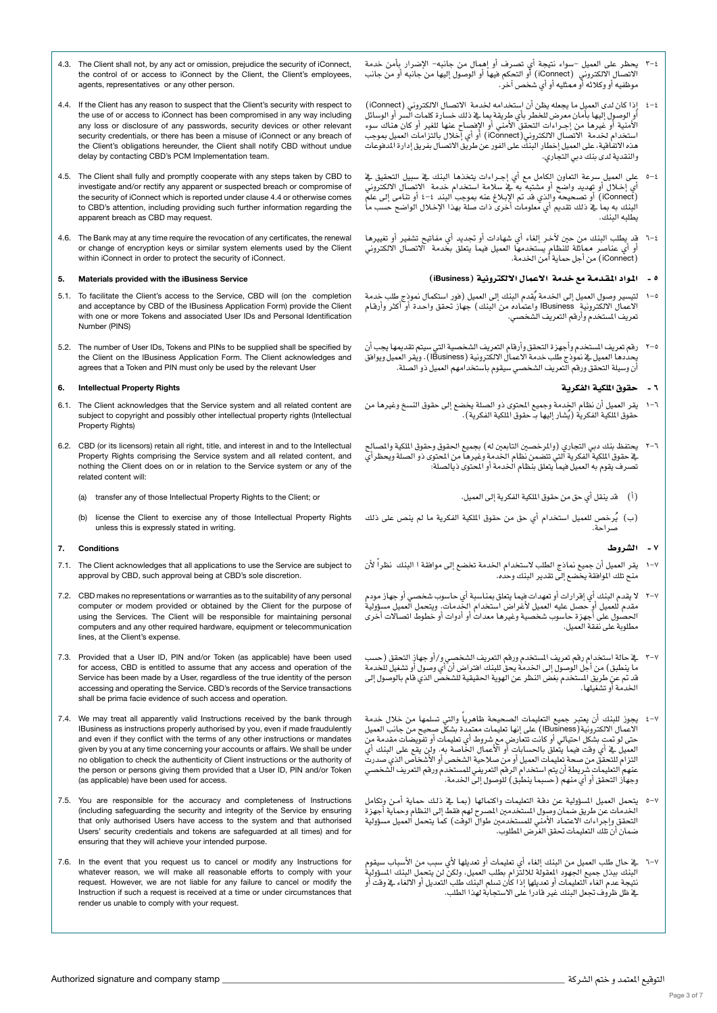- - التوقيع املعتمد و ختم ال�شركة \_\_\_\_\_\_\_\_\_\_\_\_\_\_\_\_\_\_\_\_\_\_\_\_\_\_\_\_\_\_\_\_\_\_\_\_\_\_\_\_\_\_\_\_\_\_\_\_\_\_\_\_\_\_\_\_\_\_\_\_\_\_\_\_\_\_\_\_\_\_\_\_\_\_\_\_\_\_ stamp company and signature Authorized
		-
- االت�صال االلكرتوين )iConnect )أو التحكم فيها أو الو�صول إليها من جانبه أو من جانب 3-4 يحظر على العميل -�سواء نتيجة أي ت�صرف أو إهمال من جانبه- الإ�ضرار بأمن خدمة موظفيه أو وكالئه أو ممثليه أو أي �شخ�ص آخر.
- أو الو�صول إليها بأمان معر�ض للخطر بأي طريقة مبا يف ذلك خ�سارة كلمات ال�سر أو الو�سائل 4-4 إذا كان لدى العميل ما يجعله يظن أن ا�ستخدامه خلدمة االت�صال االلكرتوين )iConnect ) الأمنية أو غيرها من إجـراءات التحقق الأمني أو الإفصاح عنها للغير أو كان هناك سوء ا�ستخدام خلدمة االت�صال االلكرتوين)iConnect )أو أي إخالل بالتزامات العميل مبوجب هذه الانفاقية، على العميل إخطار البنك على الفور عن طريق الاتصال بفريق إدارة الدفوعات والنقدية لدى بنك دبي التجاري.
- 6−6 على العميل سرعة التعاون الكامل مع أي إجـراءات يتخذها البنك ⊈ سبيل التحقيق يخ<br>أي إخـلال أو تهديد واضح أو مشتبه به يخ سلامة استخدام خدمة الاتصال الالكتروني )iConnect )أو ت�صحيحه والذي قد مت الإب�لاغ عنه مبوجب البند 4-4 أو تنامى إىل علم البنك به مبا يف ذلك تقدمي أي معلومات أخرى ذات �صلة بهذا الإخ�لال الوا�ضح ح�سب ما يطلبه البنك.
- 1−1 قد يطلب البنك من حين لآخر إلغاء أي شهادات أو تجديد أي مفاتيح تشفير أو تغييرها<br>أو أي عناصر مماثلة للنظام يستخدمها العميل فيما يتعلق بخدمة الاتصال الالكتروني )iConnect )من أجل حماية أمن اخلدمة.

#### 5 - املـواد املـقـدمـة مع خدمة االعمال االلكرتونية )iBusiness)

- 0-1 لتيسير وصول العميل إلى الخدمة يُقدم البنك إلى العميل (فور استكمال نموذج طلب خدمة<br>الاعمال الالكترونية Business واعتماده من البنك ) جهاز تحقق واحدة أو أكثر وأرقـام<br>تعريف المستخدم وأرقم التعريف الشخصي.
- ~ Y رقم تعريف المستخدم وأجهزة التحقق وأرقام التعريف الشخصية التي سيتم تقديمها يجب أن<br>يحددها العميل في نموذج طلب خدمة الاعمال الالكترونية (Business) . ويقر العميل ويوافق ن وسيلة التحقق ورقم التعريف الشخصي سيقوم باستخدامهم العميل ذو الصلة.

## 6 - حقوق امللكية الفكرية

- ُ حقوق امللكية الفكرية )ي�شار إليها بــ حقوق امللكية الفكرية(. 1-6 يقر العميل أن نظام اخلدمة وجميع املحتوى ذو ال�صلة يخ�ضع إىل حقوق الن�سخ وغريها من
- يف حقوق امللكية الفكرية التي تت�ضمن نظام اخلدمة وغريها من املحتوى ذو ال�صلة ويحظرأي 2-6 يحتفظ بنك دبي التجاري )واملرخ�صني التابعني له( بجميع احلقوق وحقوق امللكية وامل�صالح تصرف يقوم به العميل فيما يتعلق بنظام الخدمة أو الحتوى ذيالصلة:
	- )أ( قد ينقل أي حق من حقوق امللكية الفكرية إىل العميل.
- (ب) يُرخص للعميل استخدام أي حق من حقوق الملكية الفكرية ما لم ينص على ذلك<br>صراحة.

# 7 - ال�شروط

- 0−1 يقر العميل أن جميع نماذج الطلب لاستخدام الخدمة تخضع إلى موافقة ا البنك نظراً لأن<br>منح تلك الموافقة يخضع إلى تقدير البنك وحده.
- ٧-٧ لا يقدم البنك أي إقرارات أو تمهدات فيما يتعلق بمناسبة أي حاسوب شخصي أو جهاز مودم<br>مقدم للعميل أو حصل عليه العميل لأغراض استخدام الخدمات. ويتحمل العميل مسؤولية<br>الحصول على أجهزة حاسوب شخصية وغيرها معدات أو أدوات أو خطو مطلوبة على نفقة العميل.
- ×-٣ في حالة استخدام رقم تعريف المستخدم ورقم التعريف الشخصـي و/أو جهاز التحقق (حسب<br>ما ينطبق) من أجل الوصول إلى الخدمة يحق للبنك افتراض أن أي وصول أو تشغيل للخدمة ي حي حتى عن عن عن حسن عن عنه عن عن عن عن عن عن النظر عن النظر عن الذي قام بالوصول إلى عن الستخدم بغض النظر عن اخلدمة أو ت�شغيلها.
- +−٤ يجوز للبنك أن يمتبر جميع التعليمات الصحيحة ظاهرياً والتي تسلمها من خلال خدمة<br>الاعمال الالكترونية(Business) على إنها تعليمات معتمدة بشكل صحيح من جانب العميل حتى لو تمت بشكل احتيالي أو كانت تتعارض مع شروط أي تعليمات أو تفويضات مقدمة من العميل في أي وقت فيما يتَّعلق بالحسابات أو الأعمال الخاصة به. ولَن يقع على البنك أيِّ<br>التزام للتحقق من صحة تعليمات العميل أو من صلاحية الشخص أو الأشخاص الذي صدرت<br>عنهم التعليمات شريطة أن يتم استخدام الرقم التعريفي للمستخدم وسروم ستعلى من صلحه لعليمات التعين أو من صلاحية استخفض أو أو مستحض الذي صلارت<br>عنهم التعليمات شريطة أن يتم استخدام الرقم التعريفي للمستخدم ورقم التعريف الشخصي<br>وجهاز التحقق أو أي منهم ( حسبما ينطبق ) للوصول إلى الخدمة.
- 0−0 يتحمل العميل السؤولية عن دقـة التعليمات واكتمالها (بمـا \_& ذلـك حماية أمـن وتكامل<br>الخدمات عن طريق ضمان وصول المستخدمين المصرح لهم فقط إلى النظام وحماية أجهزة التحقق وإجراءات الاعتماد الأمني للمستخدمين طوال الوقت) كما يتحمل العميل مسؤولية �ضمان أن تلك التعليمات حتقق الغر�ض املطلوب.
- ٧−٦ في حال طلب العميل من البنك إلغاء أي تعليمات أو تعديلها لأي سبب من الأسباب سيقوم<br>البنك ببذل جميع الجهود المقولة للالتزام بطلب العميل، ولكن لن يتحمل البنك السؤولية<br>نتيجة عدم الفاء التعليمات أو تعديلها إذا كان تسلم ال يّ ظل ظروف تجعل البنك غير قادراً على الاستجابة لهذا الطلب.
- 4.3. The Client shall not, by any act or omission, prejudice the security of iConnect the control of or access to iConnect by the Client, the Client's employees, agents, representatives or any other person.
- 4.4. If the Client has any reason to suspect that the Client's security with respect to the use of or access to iConnect has been compromised in any way including any loss or disclosure of any passwords, security devices or other relevant security credentials, or there has been a misuse of iConnect or any breach of the Client's obligations hereunder, the Client shall notify CBD without undue delay by contacting CBD's PCM Implementation team.
- 4.5. The Client shall fully and promptly cooperate with any steps taken by CBD to investigate and/or rectify any apparent or suspected breach or compromise of the security of iConnect which is reported under clause 4.4 or otherwise comes to CBD's attention, including providing such further information regarding the apparent breach as CBD may request.
- 4.6. The Bank may at any time require the revocation of any certificates, the renewal or change of encryption keys or similar system elements used by the Client within iConnect in order to protect the security of iConnect.

#### 5. Materials provided with the iBusiness Service

- 5.1. To facilitate the Client's access to the Service, CBD will (on the completion and acceptance by CBD of the IBusiness Application Form) provide the Client with one or more Tokens and associated User IDs and Personal Identification Number (PINS)
- 5.2. The number of User IDs, Tokens and PINs to be supplied shall be specified by the Client on the IBusiness Application Form. The Client acknowledges and agrees that a Token and PIN must only be used by the relevant User

## 6. Intellectual Property Rights

- 6.1. The Client acknowledges that the Service system and all related content are subject to copyright and possibly other intellectual property rights (Intellectual Property Rights)
- 6.2. CBD (or its licensors) retain all right, title, and interest in and to the Intellectual Property Rights comprising the Service system and all related content, and nothing the Client does on or in relation to the Service system or any of the related content will:
	- (a) transfer any of those Intellectual Property Rights to the Client; or
	- (b) license the Client to exercise any of those Intellectual Property Rights unless this is expressly stated in writing.

## 7. Conditions

- 7.1. The Client acknowledges that all applications to use the Service are subject to approval by CBD, such approval being at CBD's sole discretion.
- 7.2. CBD makes no representations or warranties as to the suitability of any personal computer or modem provided or obtained by the Client for the purpose of using the Services. The Client will be responsible for maintaining personal computers and any other required hardware, equipment or telecommunication lines, at the Client's expense.
- 7.3. Provided that a User ID, PIN and/or Token (as applicable) have been used for access, CBD is entitled to assume that any access and operation of the Service has been made by a User, regardless of the true identity of the person accessing and operating the Service. CBD's records of the Service transactions shall be prima facie evidence of such access and operation.
- 7.4. We may treat all apparently valid Instructions received by the bank through IBusiness as instructions properly authorised by you, even if made fraudulently and even if they conflict with the terms of any other instructions or mandates given by you at any time concerning your accounts or affairs. We shall be under no obligation to check the authenticity of Client instructions or the authority of the person or persons giving them provided that a User ID, PIN and/or Token (as applicable) have been used for access.
- 7.5. You are responsible for the accuracy and completeness of Instructions (including safeguarding the security and integrity of the Service by ensuring that only authorised Users have access to the system and that authorised Users' security credentials and tokens are safeguarded at all times) and for ensuring that they will achieve your intended purpose.
- 7.6. In the event that you request us to cancel or modify any Instructions for whatever reason, we will make all reasonable efforts to comply with your request. However, we are not liable for any failure to cancel or modify the Instruction if such a request is received at a time or under circumstances that render us unable to comply with your request.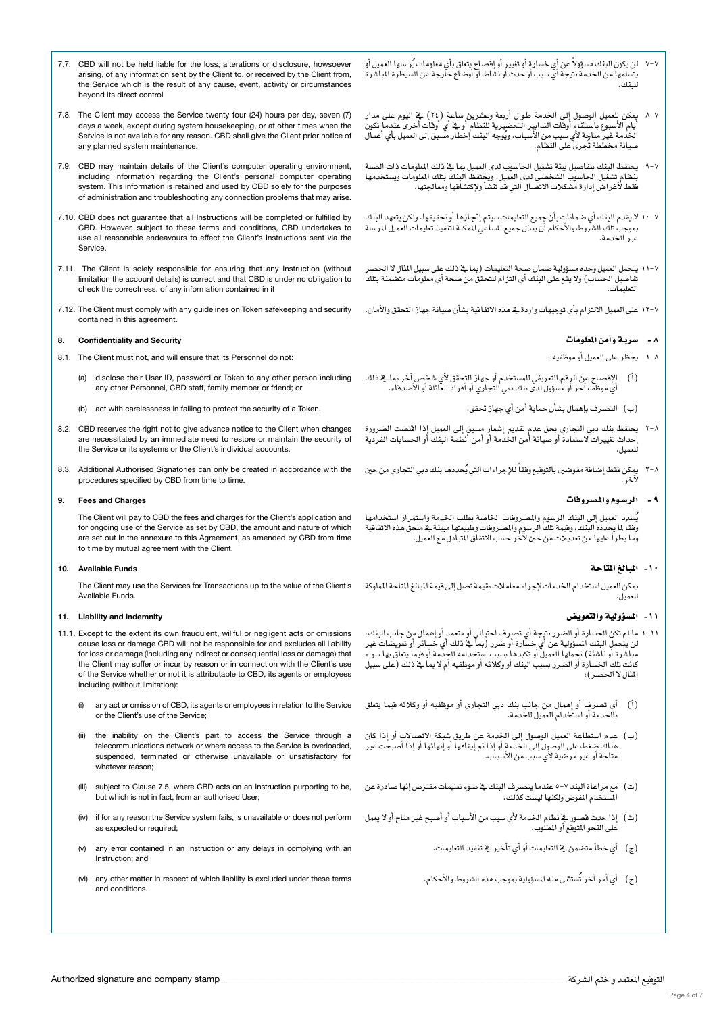- التوقيع املعتمد و ختم ال�شركة \_\_\_\_\_\_\_\_\_\_\_\_\_\_\_\_\_\_\_\_\_\_\_\_\_\_\_\_\_\_\_\_\_\_\_\_\_\_\_\_\_\_\_\_\_\_\_\_\_\_\_\_\_\_\_\_\_\_\_\_\_\_\_\_\_\_\_\_\_\_\_\_\_\_\_\_\_\_ stamp company and signature Authorized
	-
- Page 4 of 7
- 7.7. CBD will not be held liable for the loss, alterations or disclosure, howsoever arising, of any information sent by the Client to, or received by the Client from, the Service which is the result of any cause, event, activity or circumstances beyond its direct control
- 7.8. The Client may access the Service twenty four (24) hours per day, seven (7) days a week, except during system housekeeping, or at other times when the Service is not available for any reason. CBD shall give the Client prior notice of any planned system maintenance.
- 7.9. CBD may maintain details of the Client's computer operating environment, including information regarding the Client's personal computer operating system. This information is retained and used by CBD solely for the purposes of administration and troubleshooting any connection problems that may arise.
- 7.10. CBD does not guarantee that all Instructions will be completed or fulfilled by CBD. However, subject to these terms and conditions, CBD undertakes to use all reasonable endeavours to effect the Client's Instructions sent via the Service.
- 7.11. The Client is solely responsible for ensuring that any Instruction (without limitation the account details) is correct and that CBD is under no obligation to check the correctness. of any information contained in it
- 7.12. The Client must comply with any guidelines on Token safekeeping and security contained in this agreement.

## 8. Confidentiality and Security

- 8.1. The Client must not, and will ensure that its Personnel do not:
	- (a) disclose their User ID, password or Token to any other person including any other Personnel, CBD staff, family member or friend; or
	- (b) act with carelessness in failing to protect the security of a Token.
- 8.2. CBD reserves the right not to give advance notice to the Client when changes are necessitated by an immediate need to restore or maintain the security of the Service or its systems or the Client's individual accounts.
- 8.3. Additional Authorised Signatories can only be created in accordance with the procedures specified by CBD from time to time.

## 9. Fees and Charges

The Client will pay to CBD the fees and charges for the Client's application and for ongoing use of the Service as set by CBD, the amount and nature of which are set out in the annexure to this Agreement, as amended by CBD from time to time by mutual agreement with the Client.

#### 10. Available Funds

The Client may use the Services for Transactions up to the value of the Client's Available Funds.

## 11. Liability and Indemnity

- 11.1. Except to the extent its own fraudulent, willful or negligent acts or omissions cause loss or damage CBD will not be responsible for and excludes all liability for loss or damage (including any indirect or consequential loss or damage) that the Client may suffer or incur by reason or in connection with the Client's use of the Service whether or not it is attributable to CBD, its agents or employees including (without limitation):
	- any act or omission of CBD, its agents or employees in relation to the Service or the Client's use of the Service;
	- (ii) the inability on the Client's part to access the Service through a telecommunications network or where access to the Service is overloaded, suspended, terminated or otherwise unavailable or unsatisfactory for whatever reason;
	- (iii) subject to Clause 7.5, where CBD acts on an Instruction purporting to be, but which is not in fact, from an authorised User;
	- as expected or required;
	- any error contained in an Instruction or any delays in complying with an Instruction; and
	- (vi) any other matter in respect of which liability is excluded under these terms and conditions.
- y-۷ لن يكون البنك مسؤولاً عن أي خسارة أو تغيير أو إفصاح يتعلق بأي معلومات يُرسلها العميل أو<br>يتسلمها من الخدمة نتيجة أي سبب أو حدث أو نشاط أو أوضاع خارجة عن السيطرة الباشرة للبنك.
- ٧-٨ يمكن للمميل الوصول إلى الخدمة طـوال أربعة وعشرين ساعة (٢٤) في اليوم على مدار<br>أيام الأسبوع باستثناء أوقات التدابير التحضيرية للنظام أو في أي أوقات أخرى عندما تكون<br>الخدمة غير متاجة لأي سبب من الأسباب. ويُوجه البنك إ
- +^ يحتفظ البنك بتفاصيل بيئة تشغيل الحاسوب لدى العميل بما ⊈ ذلك الملومات ذات الصلة<br>بنظام ٍتشغيل الحاسوب الشخصي لدى العميل. ويحتفظ البنك بتلك الملومات ويستخدمها فقط لأغراض إدارة مشكلات الاتصال التي قد تنشأ ولإكتشافها ومعالجتها.
- مبوجب تلك ال�شروط والأحكام أن يبذل جميع امل�ساعي املمكنة لتنفيذ تعليمات العميل املر�سلة 10-7 ال يقدم البنك أي �ضمانات بأن جميع التعليمات �سيتم إجنازها أو حتقيقها. ولكن يتعهد البنك عبر الخدمة.
- تفا�صيل احل�ساب( وال يقع على البنك أي التزام للتحقق من �صحة أي معلومات مت�ضمنة بتلك 11-7 يتحمل العميل وحده م�سؤولية �ضمان �صحة التعليمات )مبا يف ذلك على �سبيل املثال ال احل�صر التعليمات.
- 12-7 على العميل االلتزام بأي توجيهات واردة يف هذه االتفاقية ب�شأن �صيانة جهاز التحقق والأمان.

# 8 - �سرية وأمن املعلومات

- 1-8 يحظر على العميل أو موظفيه:
- )أ( الإف�صاح عن الرقم التعريفي للم�ستخدم أو جهاز التحقق لأي �شخ�ص آخر مبا يف ذلك ي موظف آخر أو مسؤول لدى بنك دبي التجاري أو أفراد العائلة أو الأصدقاء.
	- )ب( الت�صرف بإهمال ب�شأن حماية أمن أي جهاز حتقق.
- إحداث تغيريات ال�ستعادة أو �صيانة أمن اخلدمة أو أمن أنظمة البنك أو احل�سابات الفردية 2-8 يحتفظ بنك دبي التجاري بحق عدم تقدمي إ�شعار م�سبق إىل العميل إذا اقت�ضت ال�ضرورة للعميل.
- ۸−۲ يمكن فقط إضافة مفوضين بالتوقيع وفقاً للإجراءات التي يُحددها بنك دبي التجاري من حين<br>لأخر.

## 9 - الر�سـوم واملـ�صروفات

يُسنرد العميل إلى البنك الرسوم والمصروفات الخاصة بطلب الخدمة واستمرار استخدامها<br>وفقا لما يحدده البنك، وفيمة تلك الرسوم والمصروفات وطبيعتها مبينة فے ملحق هذه الاتفاقية وما يطرأ عليها من تعديالت من حني لآخر ح�سب االتفاق املتبادل مع العميل.

# -10 املبالغ املتاحة

يمكن للعميل استخدام الخدمات لإجراء معاملات بقيمة تصل إلى قيمة المبالغ الماحة الملوكة للعميل.

# ١١ - المسؤولية والتعويض

- ١١-١ ما لم تكن الخسارة أو الضرر نتيجة أي تصرف احتيالي أو متعمد أو إهمال من جانب البنك،<br>لن يتحمل البنك السؤولية عن أي خسارة أو ضرر (بما فج ذلك أي خسائر أو تعويضات غير مباشرة أو ناشئة) تحملها العميل أو تكبدها بسبب استخدامه للخدمة أو فيما يتعلق بها سواء كانت تلك الخسارة أو الضرر بسبب البنك أو وكلائه أو موظفيه أم لا بما يف ذلك (على سبيل المثال لا الحصر ):
- )أ( أي ت�صرف أو إهمال من جانب بنك دبي التجاري أو موظفيه أو وكالئه فيما يتعلق .<br>بالحدمة أو استخدام العميل للخدمة.
- )ب( عدم ا�ستطاعة العميل الو�صول إىل اخلدمة عن طريق �شبكة االت�صاالت أو إذا كان هناك ضغط على الوصول إلى الخدمة أو إذا تم إيقافها أو إنهائها أو إذا أصبحت غير متاحة أو غير مرضية لأي سبب من الأسباب.
- (ت) مع مراعاة البند ٧-٥ عندما يتصرف البنك يفاضوء تعليمات مفترض إنها صادرة عن<br>الستغرم الفوض هاكفها ليست كذلك .<br>ــخدم المفوض ولكنها ليست كذلك.
- (ث) إذا حدث قصور يف نظام الخدمة لأي سبب من الأسباب أو أصبح غير متاح أو لا يعمل (iv) ffor any reason the Service system fails, is unavailable or does not perform على النحو املتوقع أو املطلوب.
	- )ج( أي خطأ مت�ضمن يف التعليمات أو أي تأخري يف تنفيذ التعليمات.
	- )ح( أي أمر ُ آخر ت�ستثنى منه امل�سؤولية مبوجب هذه ال�شروط والأحكام.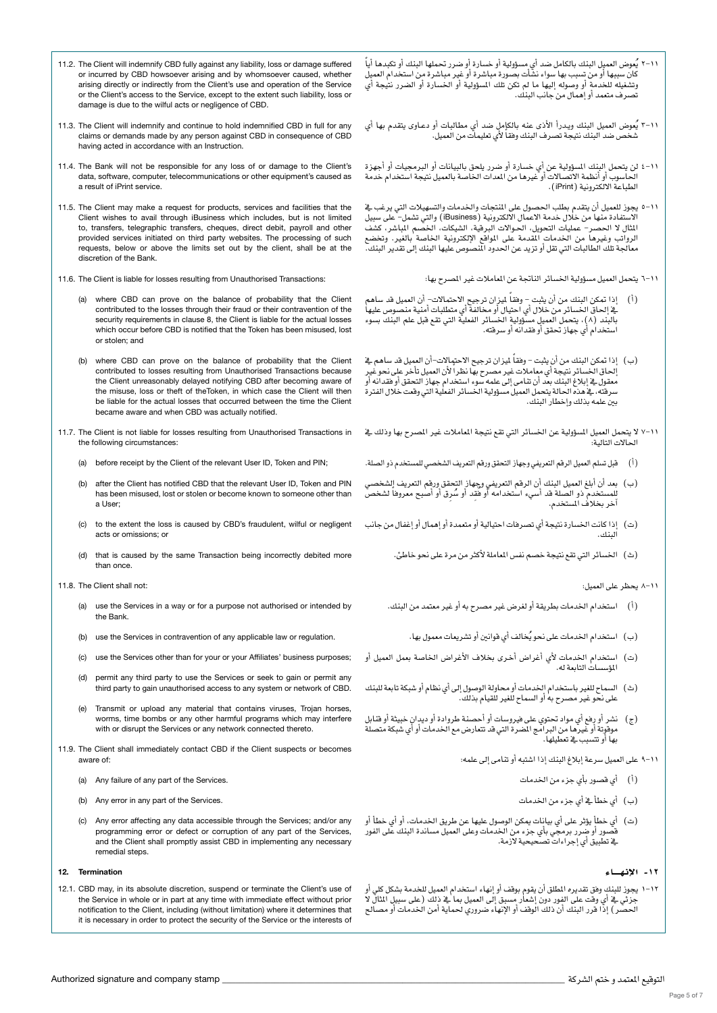- 11.2. The Client will indemnify CBD fully against any liability, loss or damage suffered or incurred by CBD howsoever arising and by whomsoever caused, whether arising directly or indirectly from the Client's use and operation of the Service or the Client's access to the Service, except to the extent such liability, loss or damage is due to the wilful acts or negligence of CBD.
- 11.3. The Client will indemnify and continue to hold indemnified CBD in full for any claims or demands made by any person against CBD in consequence of CBD having acted in accordance with an Instruction.
- 11.4. The Bank will not be responsible for any loss of or damage to the Client's data, software, computer, telecommunications or other equipment's caused as a result of iPrint service.
- 11.5. The Client may make a request for products, services and facilities that the Client wishes to avail through iBusiness which includes, but is not limited to, transfers, telegraphic transfers, cheques, direct debit, payroll and other provided services initiated on third party websites. The processing of such requests, below or above the limits set out by the client, shall be at the discretion of the Bank.
- 11.6. The Client is liable for losses resulting from Unauthorised Transactions:
	- (a) where CBD can prove on the balance of probability that the Client contributed to the losses through their fraud or their contravention of the security requirements in clause 8, the Client is liable for the actual losses which occur before CBD is notified that the Token has been misused, lost or stolen; and
	- (b) where CBD can prove on the balance of probability that the Client contributed to losses resulting from Unauthorised Transactions because the Client unreasonably delayed notifying CBD after becoming aware of the misuse, loss or theft of theToken, in which case the Client will then be liable for the actual losses that occurred between the time the Client became aware and when CBD was actually notified.
- 11.7. The Client is not liable for losses resulting from Unauthorised Transactions in the following circumstances:
	- (a) before receipt by the Client of the relevant User ID, Token and PIN;
	- (b) after the Client has notified CBD that the relevant User ID, Token and PIN has been misused, lost or stolen or become known to someone other than a User;
	- (c) to the extent the loss is caused by CBD's fraudulent, wilful or negligent acts or omissions; or
	- (d) that is caused by the same Transaction being incorrectly debited more than once.
- 11.8. The Client shall not:
	- (a) use the Services in a way or for a purpose not authorised or intended by the Bank.
	- (b) use the Services in contravention of any applicable law or regulation.
	- (c) use the Services other than for your or your Affiliates' business purposes;
	- (d) permit any third party to use the Services or seek to gain or permit any third party to gain unauthorised access to any system or network of CBD.
	- (e) Transmit or upload any material that contains viruses, Trojan horses, worms, time bombs or any other harmful programs which may interfere with or disrupt the Services or any network connected thereto.
- 11.9. The Client shall immediately contact CBD if the Client suspects or becomes aware of:
	- (a) Any failure of any part of the Services.
	- (b) Any error in any part of the Services.
	- (c) Any error affecting any data accessible through the Services; and/or any programming error or defect or corruption of any part of the Services, and the Client shall promptly assist CBD in implementing any necessary remedial steps.

#### 12. Termination

12.1. CBD may, in its absolute discretion, suspend or terminate the Client's use of the Service in whole or in part at any time with immediate effect without prior notification to the Client, including (without limitation) where it determines that it is necessary in order to protect the security of the Service or the interests of

- ֧֖֖֝֟֓֓֓֓**֓** ٢-١٦ يُعوض العميل البنك بالكامل ضد أي مسؤولية أو خسارة أو ضرر تحملها البنك أو تكبدها أياً<br>كان سببها أو من تسبب بها سواء نشأت بصورة مباشرة أو غير مباشرة من استخدام العميل ...<br>وتشغيله للخدمة أو وصوله إليها ما لم تكن تلك المسؤولية أو الخسارة أو الضرر نتيجة أي ت�صرف متعمد أو إهمال من جانب البنك.
- ٢-١٦ يُعوض المميل البنك ويـدرأ الأذى عنه بالكإمل ضد أي مطالبات أو دعـاوى يتقدم بها أي<br>شخص ضد البنك نتيجة تصرف البنك وفقا لأي تعليمات من المميل.
- ا ا−٤ لن يتحمل البنك المسؤولية عن أي خسارة أو ضرر يلحق بالبيانات أو البرمجيات أو أجهزة<br>الحاسوب أو أنظمة الاتصالات أو غيرها من المدات الخاصة بالمميل نتيجة استخدام خدمة الطباعة االلكرتونية )iPrint).
- ١١-٥ يجوز للعميل أن ينقدم بطلب الحصول على المنجات والخدمات والتسهيلات التي يرغب في<br>الاستفادة منها من خلال خدمة الاعمال الالكترونية (iBusiness) والتي تشمل– على سبيل<br>الثال لا الحصر– عمليات التحويل، الحوالات البرقية، الشيكات الرواتب وغيرها من الخدمات المقدمة على المواقع الإلكترونية الخاصة بالغير. وتخضع معالجة تلك الطالبات التي تقل أو تزيد عن الحدود المنصوص عليها البنك إلى تقدير البنك.
	- 1\-1 يتحمل العميل مسؤولية الخسائر الناتجة عن الماملات غير المصرح بها:
- (أ) ﴾ إذا تمكن البنك من أن يثبت وفقاً لميزان ترجيح إلاحتمالات- أن العميل قد ساهم يف إلحاق الخسائر من خلال أي احتيال أو مخالفة أي متطلبات أمنية منصوص عليها بالبند (٨)، يتحمل العميل مسؤولية الخسائر الفعلية التي تقع قبل علم البنك بسوء ا�ستخدام أي جهاز حتقق أو فقدانه أو �سرقته.
- (ب) إذا تمكن البنك من أن يثبت وفقاً ليزان ترجيح الاحتمالإت-أن العميل قد ساهم في ل . . .<br>إنحاق الخسائر نتيجة أي معاملات غير مصرح بها نظر الأن العميل تأخر على نحو غير<br>معقول فے إبلاغ البنك بعد أن تنامى إلى علمه سوء استخدام جهاز التحقق أو فقدانه أو<br>سرفته ، فے هذه الحالة يتحمل العميل مسؤولية الخسائر الفعل بن - بني .<br>سرشته ، في مده الحالة يتحمل العميل مسؤولية الخسائر الفعلية التي وقعت خلال الفترة<br>بين علمه بذلك وإخطار البنك.
- ا ا –۷ لا يتحمل العميل السؤولية عن الخسائر التي تقع نتيجة الماملات غير المصرح بها وذلك يفـ<br>الحالات التالية:
- )أ( قبل ت�سلم العميل الرقم التعريفي وجهاز التحقق ورقم التعريف ال�شخ�صي للم�ستخدم ذو ال�صلة.
- (ب) بعد أن أبلغ العميل البنك أن الرقم التعريفي وجهاز التحقق ورقم التعريف الشخصي<br>للمستخدم ذو الصلة قد أسيء استخدامه أو فُقد أو سُرِق أو أصبح معروفا لشخص<br>أخر بخلاف الستخدم.
- (ت) إذا كانت الخسارة نتيجة أي تصرفات احتيالية أو متعمدة أو إهمال أو إغفال من جانب البنك.
	- )ث( اخل�سائر التي تقع نتيجة خ�صم نف�س املعاملة لأكرث من مرة على نحو خاطئ.

## 8-11 يحظر على العميل:

- )أ( ا�ستخدام اخلدمات بطريقة أو لغر�ض غري م�صرح به أو غري معتمد من البنك.
	- )ب( ُ ا�ستخدام اخلدمات على نحو يخالف أي قوانني أو ت�شريعات معمول بها.
- (ت) استخدام الخدمات لأي أغراض أخرى بخلاف الأغراض الخاصة بعمل العميل أو المؤسسات التابعة له.
- (ث) السماح للغير باستخدام الخدمات أو محاولة الوصول إلى أي نظام أو شبكة تابعة للبنك على نحو غير مصرح به أو السماح للغير للقيام بذلك.
- (ج) نشر أو رفع أي مواد تحتوي على فيروسات أو أحصنة طروادة أو ديدانٍ خبيثة أو قنابل موقوتة أو غيرها من البرامج المصرة التي قد تتعارض مع الخدمات أو أي شبكة متصلة بها أو تت�سبب يف تعطيلها.
	- 9-11 على العميل �سرعة إبالغ البنك إذا ا�شتبه أو تنامى إىل علمه:
		- )أ( أي ق�صور بأي جزء من اخلدمات
		- )ب( أي خطأ يف أي جزء من اخلدمات
- (ت) أي خطأٍ يؤثر على أي بيانات يمكن الوصول عليها عن طريق الخدمات، أو أي خطأ أو قصور أو صرر برمجي بأي جزء من الخدمات وعلى العميل مساندة البنك على الفور.<br>في تطبيق أي إجراءات تصحيحية لازمة.

#### -12 الإنـهـــــاء

١٦-١ يجوز للبنك وفق تقديره المللق أن يقوم بوقف أو إنهاء استخدام العميل للخدمة بشكل كلي أو<br>جزئي في أي وقت على الفور دون إشعار مسبق إلى العميل بما في ذلك (على سبيل المثال لا الحصّر) إذا قرر البنك أنّ ذلك الوقف أو الإنهاء ضروري لحماية أمن الخدمات أو مصالح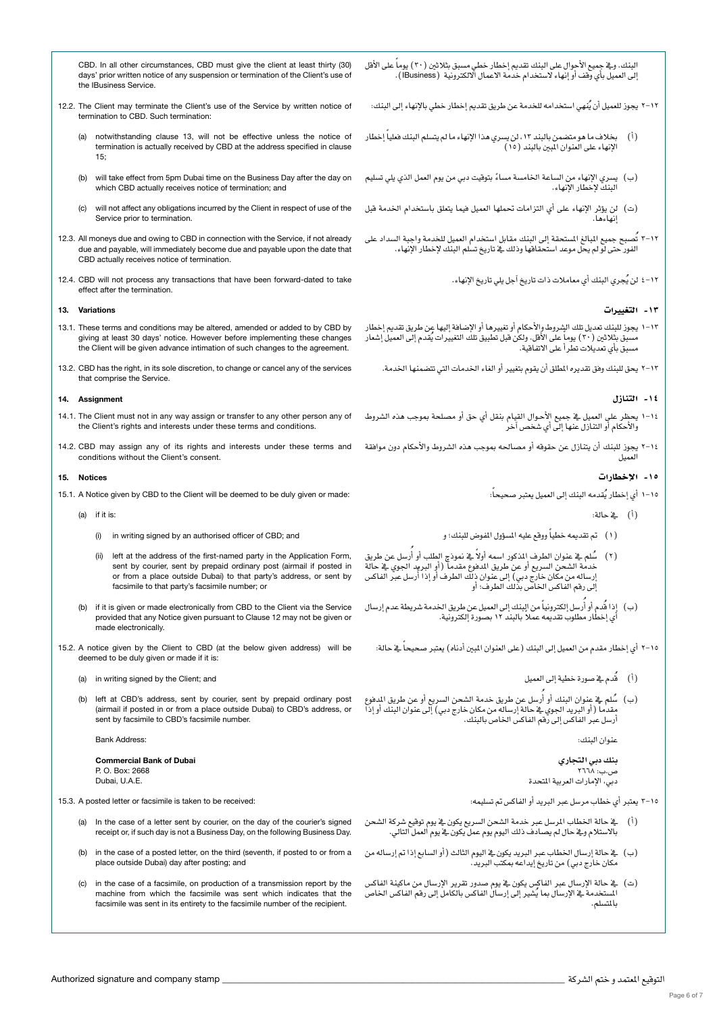CBD. In all other circumstances, CBD must give the client at least thirty (30) days' prior written notice of any suspension or termination of the Client's use of the IBusiness Service.

- 12.2. The Client may terminate the Client's use of the Service by written notice of termination to CBD. Such termination:
	- (a) notwithstanding clause 13, will not be effective unless the notice of termination is actually received by CBD at the address specified in clause 15;
	- (b) will take effect from 5pm Dubai time on the Business Day after the day on which CBD actually receives notice of termination; and
	- (c) will not affect any obligations incurred by the Client in respect of use of the Service prior to termination.
- 12.3. All moneys due and owing to CBD in connection with the Service, if not already due and payable, will immediately become due and payable upon the date that CBD actually receives notice of termination.
- 12.4. CBD will not process any transactions that have been forward-dated to take effect after the termination.

## 13. Variations

- 13.1. These terms and conditions may be altered, amended or added to by CBD by giving at least 30 days' notice. However before implementing these changes the Client will be given advance intimation of such changes to the agreement.
- 13.2. CBD has the right, in its sole discretion, to change or cancel any of the services that comprise the Service.

#### 14. Assignment

- 14.1. The Client must not in any way assign or transfer to any other person any of the Client's rights and interests under these terms and conditions.
- 14.2. CBD may assign any of its rights and interests under these terms and

#### 15. Notices

- 15.1. A Notice given by CBD to the Client will be deemed to be duly given or made:
	- (a) if it is:
		- (i) in writing signed by an authorised officer of CBD; and
		- (ii) left at the address of the first-named party in the Application Form, sent by courier, sent by prepaid ordinary post (airmail if posted in or from a place outside Dubai) to that party's address, or sent by facsimile to that party's facsimile number; or
	- (b) if it is given or made electronically from CBD to the Client via the Service provided that any Notice given pursuant to Clause 12 may not be given or made electronically.
- 15.2. A notice given by the Client to CBD (at the below given address) will be deemed to be duly given or made if it is:
	- (a) in writing signed by the Client; and
	- (b) left at CBD's address, sent by courier, sent by prepaid ordinary post (airmail if posted in or from a place outside Dubai) to CBD's address, or sent by facsimile to CBD's facsimile number.

Bank Address:

Commercial Bank of Dubai P. O. Box: 2668 Dubai, U.A.E.

15.3. A posted letter or facsimile is taken to be received:

- (a) In the case of a letter sent by courier, on the day of the courier's signed receipt or, if such day is not a Business Day, on the following Business Day.
- (b) in the case of a posted letter, on the third (seventh, if posted to or from a place outside Dubai) day after posting; and
- (c) in the case of a facsimile, on production of a transmission report by the machine from which the facsimile was sent which indicates that the facsimile was sent in its entirety to the facsimile number of the recipient.

البنك. ويف جِميع الأحوال على البنك تقديم إخطار خطي مسبق بثلاثين ( ٢٠ ) يوماً على الأقل لى العميل بأي وقف أو إنهاء لاستخدام خدمة الاعمال الالكترونية (IBusiness).

17-٢ يجوز للعميل أن يُنهي استخدامه للخدمة عن طريق تقديم إخطار خطي بالإنهاء إلى البنك:

- (أ) بخلاف ما هو متضمن بالبند ١٣، لن يسري هذا الإنهاء ما لم يتسلم البنك فعلياً إخطار الإنهاء على العنوان املبني بالبند )15(
- (ب) يسري الإنهاء من الساعة الخامسة مساءً بتوقيت دبي من يوم العمل الذي يلي تسليم<br>البنك لإخطار الإنهاء.
- )ت( لن يؤثر الإنهاء على أي التزامات حتملها العميل فيما يتعلق با�ستخدام اخلدمة قبل إنهاءها.
- ١٢-٢ تُصبح جميع المبالغ المستحقة إلى البنك مقابل استخدام العميل للخدمة واجبة السداد على<br>الفور حتى لو لم يحل موعد استحقاقها وذلك فے تاريخ تسلم البنك لإخطار الإنهاء.
	- 4-12 ُ لن يجري البنك أي معامالت ذات تاريخ آجل يلي تاريخ الإنهاء.

#### -13 التغيريات

١٠-١ يجوز للبنك تمديل تلك الشروط والأحكام أو تفييرها أو الإضافة إليها عن طريق تقديم إخطار<br>مسبق بثلاثين (٢٠) يوماً على الأقل. ولكن قبل تطبيق تلك التفييرات يُقدم إلى المميل إشعار .<br>مسبق بأي تعديلات تطرأ على الاتفاقية.

2-13 يحق للبنك وفق تقديره املطلق أن يقوم بتغيري أو الغاء اخلدمات التي تت�ضمنها اخلدمة.

#### -14 التنازل

- ١-١ يحظر على المميل في جميع الأحوال القيام بنقل أي حق أو مصلحة بموجب هذه الشروط<br>والأحكام أو التنازل عنها إلى أي شخص آخر
- 1+Y يجوز للبنك أن يتنازل عن حقوقه أو مصالحه بموجب هذه الشروط والأحكام دون موافقة CBD may assign any of its rights and interests under these terms and<br>العميل

#### -15 الإخطارات

- 1-10 أي إخطار يُقدمه البنك إلى العميل يعتبر صحيحاً:
	- )أ( يف حالة:
- (١) تم تقديمه خطياً ووقع عليه المسؤول المفوض للبنك؛ و
- (٢ ) سُلم ـ في عنوان الطرف المذكور اسمه أولاً ـ في نموذج الطلب أو أُرسل عن طريق<br>خدمة الشحن السريع أو عن طريق الدفوع مقدما ( أو البريد الجوي ـ في حالة<br>إرساله من مكان خارج دبي) إلى عنوان ذلك الطرف أو إذا أُرسل عبر الفا رساله من مكان خارج دبي) إلى عنوان ذلك الطرف أو إذا أ.<br>لى رقم الفاكس الخاص بذلك الطرف؛ أو
- (ب) إِذا قُدم أو أُرسل إلكترونياً من البنك إلى العميل عن طريق الخدمة شريطة عدم إرسال ي إخطار مطلوب تقديمه عملاً بالبند ١٢ بصورة إلكترونية.<br>ي إخطار مطلوب تقديمه عملاً بالبند ١٢ بصورة إلكترونية.

10-٢ أي إخطار مقدم من العميل إلى البنك (على العنوان المبين أدناه) يعتبر صحيحاً في حالة:

- )أ( ُقدم يف �صورة خطية إىل العميل
- (ب) سُلم \_ غضوان البنك أو أُرسل عن طريق خدمة الشحن السريع أو عن طريق الدفوع<br>مقدما (أو البريد الجوي ـ خحالة إرساله من مكان خارج دبي) إلى عنوان البنك أو إذا .<br>أرسل عبر الفاكس إلى رقم الفاكس الخاص بالبنك.

عنوان البنك:

<mark>بنك دبي التجاري</mark><br>ص.ب: ٢٦٦٨<br>دبي، الإمارات العربية المتحدة

3-15 يعترب أي خطاب مر�سل عرب الربيد أو الفاك�س مت ت�سليمه:

- )أ( يف حالة اخلطاب املر�سل عرب خدمة ال�شحن ال�سريع يكون يف يوم توقيع �شركة ال�شحن بالاستلام ويف حال لم يصادف ذلك اليوم يوم عمل يكون يف يوم العمل التالي.
- (ب) في حالة إرسال الخطاب عبر البريد يكون في اليوم الثالث (أو السابع إذا تم إرساله من مكان خارج دبي) من تاريخ إيداعه بمكتب البريد.
- (ت) يف حالة الإرسال عبر الفاكس يكون يف يوم صدور تقرير الإرسال من ماكينة الفاكس المستخدمة ي الإرسال بما يُشير إلى إرسال الفاكس بالكامل إلى رقم الفاكس الخاص بالتسلم.